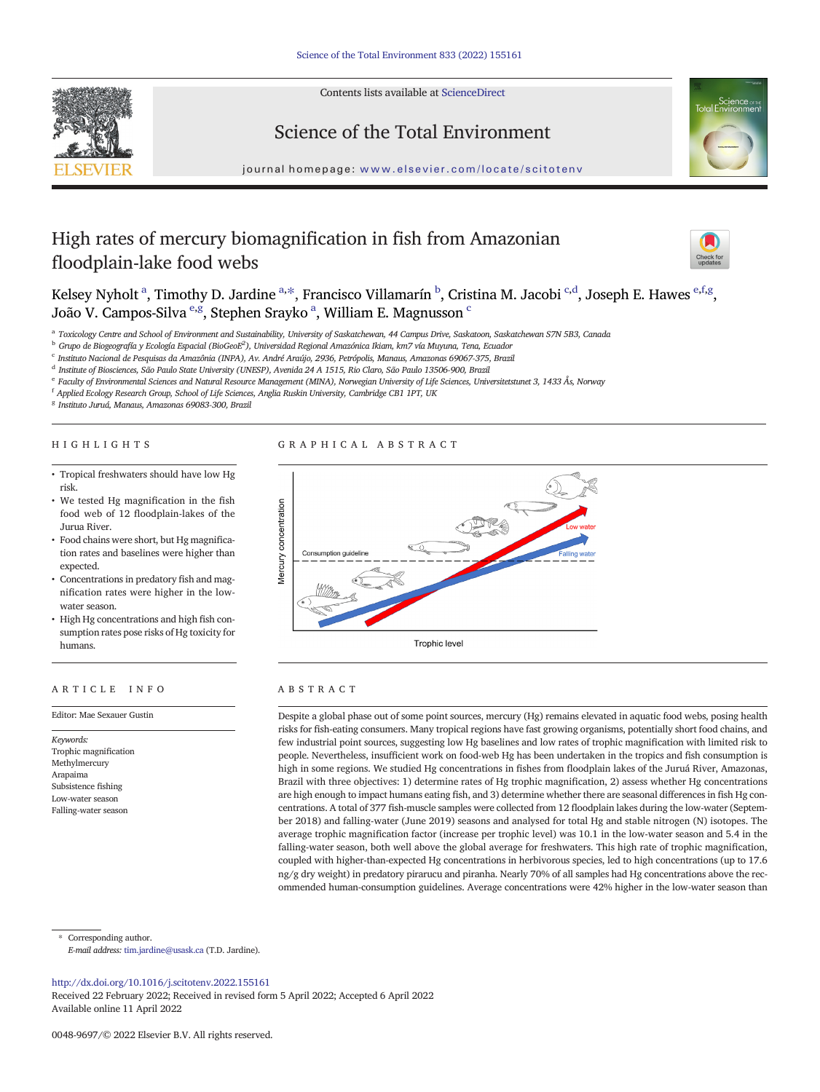Contents lists available at [ScienceDirect](http://www.sciencedirect.com/science/journal/)





# Science of the Total Environment

journal homepage: <www.elsevier.com/locate/scitotenv>

# High rates of mercury biomagnification in fish from Amazonian floodplain-lake food webs



Kelsey Nyholt <sup>a</sup>, Timothy D. Jardine <sup>a,\*</sup>, Francisco Villamarín <sup>b</sup>, Cristina M. Jacobi <sup>c,d</sup>, Joseph E. Hawes <sup>e,f,g</sup>, João V. Campos-Silva <sup>e,g</sup>, Stephen Srayko <sup>a</sup>, William E. Magnusson <sup>c</sup>

a Toxicology Centre and School of Environment and Sustainability, University of Saskatchewan, 44 Campus Drive, Saskatoon, Saskatchewan S7N 5B3, Canada

 $^{\rm b}$  Grupo de Biogeografía y Ecología Espacial (BioGeoE $^2$ ), Universidad Regional Amazónica Ikiam, km7 vía Muyuna, Tena, Ecuador

<sup>c</sup> Instituto Nacional de Pesquisas da Amazônia (INPA), Av. André Araújo, 2936, Petrópolis, Manaus, Amazonas 69067-375, Brazil

<sup>d</sup> Institute of Biosciences, São Paulo State University (UNESP), Avenida 24 A 1515, Rio Claro, São Paulo 13506-900, Brazil

<sup>e</sup> Faculty of Environmental Sciences and Natural Resource Management (MINA), Norwegian University of Life Sciences, Universitetstunet 3, 1433 Ås, Norway

 $^{\rm f}$  Applied Ecology Research Group, School of Life Sciences, Anglia Ruskin University, Cambridge CB1 1PT, UK

<sup>g</sup> Instituto Juruá, Manaus, Amazonas 69083-300, Brazil

# HIGHLIGHTS

# GRAPHICAL ABSTRACT

- Tropical freshwaters should have low Hg risk.
- We tested Hg magnification in the fish food web of 12 floodplain-lakes of the Jurua River.
- Food chains were short, but Hg magnification rates and baselines were higher than expected.
- Concentrations in predatory fish and magnification rates were higher in the lowwater season.
- High Hg concentrations and high fish consumption rates pose risks of Hg toxicity for humans.

# ARTICLE INFO ABSTRACT

Keywords: Trophic magnification Methylmercury Arapaima Subsistence fishing Low-water season Falling-water season



Editor: Mae Sexauer Gustin Despite a global phase out of some point sources, mercury (Hg) remains elevated in aquatic food webs, posing health risks for fish-eating consumers. Many tropical regions have fast growing organisms, potentially short food chains, and few industrial point sources, suggesting low Hg baselines and low rates of trophic magnification with limited risk to people. Nevertheless, insufficient work on food-web Hg has been undertaken in the tropics and fish consumption is high in some regions. We studied Hg concentrations in fishes from floodplain lakes of the Juruá River, Amazonas, Brazil with three objectives: 1) determine rates of Hg trophic magnification, 2) assess whether Hg concentrations are high enough to impact humans eating fish, and 3) determine whether there are seasonal differences in fish Hg concentrations. A total of 377 fish-muscle samples were collected from 12 floodplain lakes during the low-water (September 2018) and falling-water (June 2019) seasons and analysed for total Hg and stable nitrogen (N) isotopes. The average trophic magnification factor (increase per trophic level) was 10.1 in the low-water season and 5.4 in the falling-water season, both well above the global average for freshwaters. This high rate of trophic magnification, coupled with higher-than-expected Hg concentrations in herbivorous species, led to high concentrations (up to 17.6 ng/g dry weight) in predatory pirarucu and piranha. Nearly 70% of all samples had Hg concentrations above the recommended human-consumption guidelines. Average concentrations were 42% higher in the low-water season than

Corresponding author.

E-mail address: <tim.jardine@usask.ca> (T.D. Jardine).

<http://dx.doi.org/10.1016/j.scitotenv.2022.155161>

Received 22 February 2022; Received in revised form 5 April 2022; Accepted 6 April 2022 Available online 11 April 2022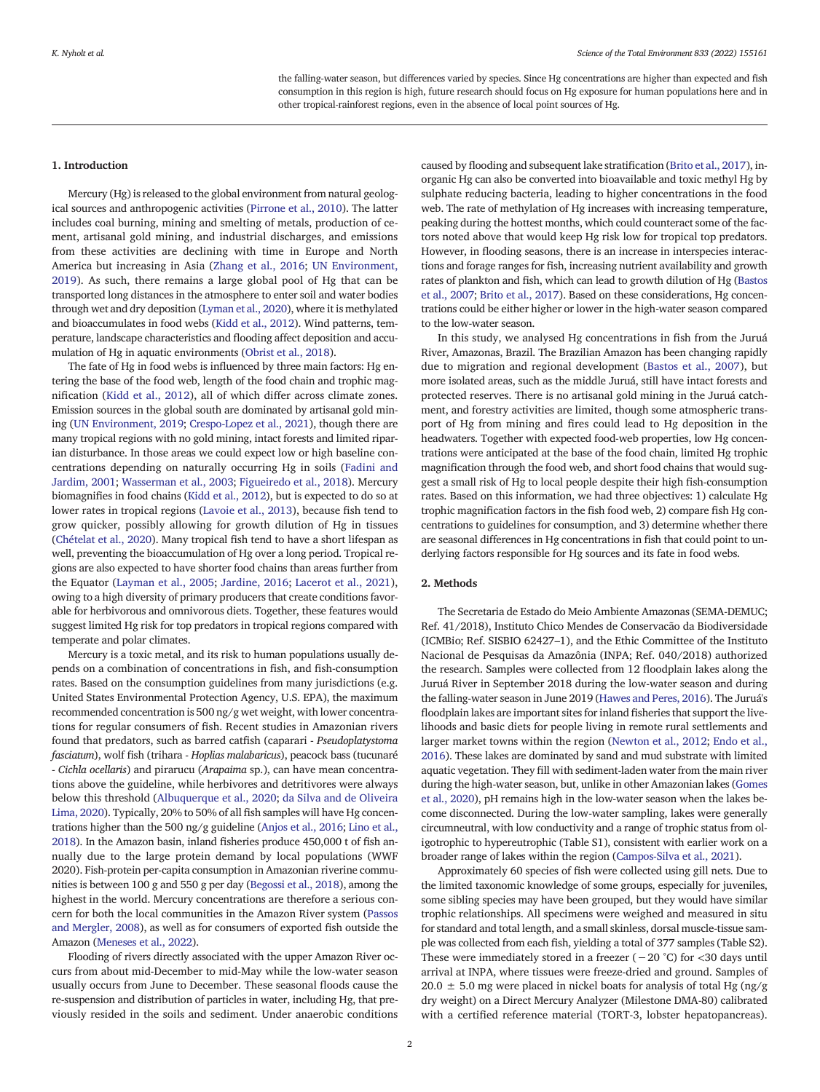the falling-water season, but differences varied by species. Since Hg concentrations are higher than expected and fish consumption in this region is high, future research should focus on Hg exposure for human populations here and in other tropical-rainforest regions, even in the absence of local point sources of Hg.

## 1. Introduction

Mercury (Hg) is released to the global environment from natural geological sources and anthropogenic activities [\(Pirrone et al., 2010](#page-5-0)). The latter includes coal burning, mining and smelting of metals, production of cement, artisanal gold mining, and industrial discharges, and emissions from these activities are declining with time in Europe and North America but increasing in Asia ([Zhang et al., 2016;](#page-5-0) [UN Environment,](#page-5-0) [2019\)](#page-5-0). As such, there remains a large global pool of Hg that can be transported long distances in the atmosphere to enter soil and water bodies through wet and dry deposition [\(Lyman et al., 2020\)](#page-5-0), where it is methylated and bioaccumulates in food webs ([Kidd et al., 2012\)](#page-5-0). Wind patterns, temperature, landscape characteristics and flooding affect deposition and accumulation of Hg in aquatic environments [\(Obrist et al., 2018](#page-5-0)).

The fate of Hg in food webs is influenced by three main factors: Hg entering the base of the food web, length of the food chain and trophic magnification [\(Kidd et al., 2012\)](#page-5-0), all of which differ across climate zones. Emission sources in the global south are dominated by artisanal gold mining ([UN Environment, 2019](#page-5-0); [Crespo-Lopez et al., 2021\)](#page-5-0), though there are many tropical regions with no gold mining, intact forests and limited riparian disturbance. In those areas we could expect low or high baseline concentrations depending on naturally occurring Hg in soils ([Fadini and](#page-5-0) [Jardim, 2001](#page-5-0); [Wasserman et al., 2003;](#page-5-0) [Figueiredo et al., 2018\)](#page-5-0). Mercury biomagnifies in food chains ([Kidd et al., 2012](#page-5-0)), but is expected to do so at lower rates in tropical regions ([Lavoie et al., 2013](#page-5-0)), because fish tend to grow quicker, possibly allowing for growth dilution of Hg in tissues ([Chételat et al., 2020](#page-5-0)). Many tropical fish tend to have a short lifespan as well, preventing the bioaccumulation of Hg over a long period. Tropical regions are also expected to have shorter food chains than areas further from the Equator ([Layman et al., 2005;](#page-5-0) [Jardine, 2016;](#page-5-0) [Lacerot et al., 2021\)](#page-5-0), owing to a high diversity of primary producers that create conditions favorable for herbivorous and omnivorous diets. Together, these features would suggest limited Hg risk for top predators in tropical regions compared with temperate and polar climates.

Mercury is a toxic metal, and its risk to human populations usually depends on a combination of concentrations in fish, and fish-consumption rates. Based on the consumption guidelines from many jurisdictions (e.g. United States Environmental Protection Agency, U.S. EPA), the maximum recommended concentration is 500 ng/g wet weight, with lower concentrations for regular consumers of fish. Recent studies in Amazonian rivers found that predators, such as barred catfish (caparari - Pseudoplatystoma fasciatum), wolf fish (trihara - Hoplias malabaricus), peacock bass (tucunaré - Cichla ocellaris) and pirarucu (Arapaima sp.), can have mean concentrations above the guideline, while herbivores and detritivores were always below this threshold [\(Albuquerque et al., 2020;](#page-4-0) [da Silva and de Oliveira](#page-5-0) [Lima, 2020\)](#page-5-0). Typically, 20% to 50% of all fish samples will have Hg concentrations higher than the 500 ng/g guideline [\(Anjos et al., 2016](#page-4-0); [Lino et al.,](#page-5-0) [2018](#page-5-0)). In the Amazon basin, inland fisheries produce 450,000 t of fish annually due to the large protein demand by local populations (WWF 2020). Fish-protein per-capita consumption in Amazonian riverine communities is between 100 g and 550 g per day ([Begossi et al., 2018\)](#page-5-0), among the highest in the world. Mercury concentrations are therefore a serious concern for both the local communities in the Amazon River system ([Passos](#page-5-0) [and Mergler, 2008\)](#page-5-0), as well as for consumers of exported fish outside the Amazon [\(Meneses et al., 2022\)](#page-5-0).

Flooding of rivers directly associated with the upper Amazon River occurs from about mid-December to mid-May while the low-water season usually occurs from June to December. These seasonal floods cause the re-suspension and distribution of particles in water, including Hg, that previously resided in the soils and sediment. Under anaerobic conditions

caused by flooding and subsequent lake stratification ([Brito et al., 2017](#page-5-0)), inorganic Hg can also be converted into bioavailable and toxic methyl Hg by sulphate reducing bacteria, leading to higher concentrations in the food web. The rate of methylation of Hg increases with increasing temperature, peaking during the hottest months, which could counteract some of the factors noted above that would keep Hg risk low for tropical top predators. However, in flooding seasons, there is an increase in interspecies interactions and forage ranges for fish, increasing nutrient availability and growth rates of plankton and fish, which can lead to growth dilution of Hg [\(Bastos](#page-5-0) [et al., 2007;](#page-5-0) [Brito et al., 2017](#page-5-0)). Based on these considerations, Hg concentrations could be either higher or lower in the high-water season compared to the low-water season.

In this study, we analysed Hg concentrations in fish from the Juruá River, Amazonas, Brazil. The Brazilian Amazon has been changing rapidly due to migration and regional development [\(Bastos et al., 2007\)](#page-5-0), but more isolated areas, such as the middle Juruá, still have intact forests and protected reserves. There is no artisanal gold mining in the Juruá catchment, and forestry activities are limited, though some atmospheric transport of Hg from mining and fires could lead to Hg deposition in the headwaters. Together with expected food-web properties, low Hg concentrations were anticipated at the base of the food chain, limited Hg trophic magnification through the food web, and short food chains that would suggest a small risk of Hg to local people despite their high fish-consumption rates. Based on this information, we had three objectives: 1) calculate Hg trophic magnification factors in the fish food web, 2) compare fish Hg concentrations to guidelines for consumption, and 3) determine whether there are seasonal differences in Hg concentrations in fish that could point to underlying factors responsible for Hg sources and its fate in food webs.

# 2. Methods

The Secretaria de Estado do Meio Ambiente Amazonas (SEMA-DEMUC; Ref. 41/2018), Instituto Chico Mendes de Conservacão da Biodiversidade (ICMBio; Ref. SISBIO 62427–1), and the Ethic Committee of the Instituto Nacional de Pesquisas da Amazônia (INPA; Ref. 040/2018) authorized the research. Samples were collected from 12 floodplain lakes along the Juruá River in September 2018 during the low-water season and during the falling-water season in June 2019 [\(Hawes and Peres, 2016](#page-5-0)). The Juruá's floodplain lakes are important sites for inland fisheries that support the livelihoods and basic diets for people living in remote rural settlements and larger market towns within the region ([Newton et al., 2012;](#page-5-0) [Endo et al.,](#page-5-0) [2016\)](#page-5-0). These lakes are dominated by sand and mud substrate with limited aquatic vegetation. They fill with sediment-laden water from the main river during the high-water season, but, unlike in other Amazonian lakes ([Gomes](#page-5-0) [et al., 2020\)](#page-5-0), pH remains high in the low-water season when the lakes become disconnected. During the low-water sampling, lakes were generally circumneutral, with low conductivity and a range of trophic status from oligotrophic to hypereutrophic (Table S1), consistent with earlier work on a broader range of lakes within the region ([Campos-Silva et al., 2021](#page-5-0)).

Approximately 60 species of fish were collected using gill nets. Due to the limited taxonomic knowledge of some groups, especially for juveniles, some sibling species may have been grouped, but they would have similar trophic relationships. All specimens were weighed and measured in situ for standard and total length, and a small skinless, dorsal muscle-tissue sample was collected from each fish, yielding a total of 377 samples (Table S2). These were immediately stored in a freezer ( $-20$  °C) for <30 days until arrival at INPA, where tissues were freeze-dried and ground. Samples of  $20.0 \pm 5.0$  mg were placed in nickel boats for analysis of total Hg (ng/g) dry weight) on a Direct Mercury Analyzer (Milestone DMA-80) calibrated with a certified reference material (TORT-3, lobster hepatopancreas).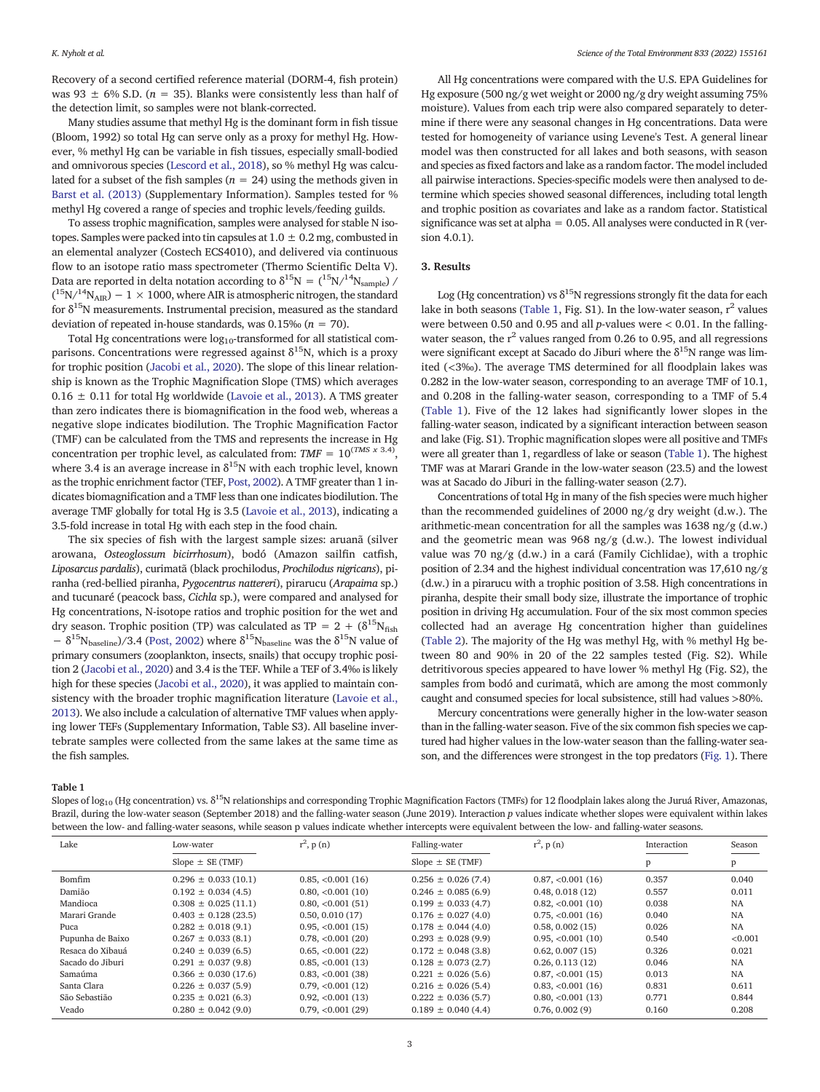Recovery of a second certified reference material (DORM-4, fish protein) was 93  $\pm$  6% S.D. (n = 35). Blanks were consistently less than half of the detection limit, so samples were not blank-corrected.

Many studies assume that methyl Hg is the dominant form in fish tissue (Bloom, 1992) so total Hg can serve only as a proxy for methyl Hg. However, % methyl Hg can be variable in fish tissues, especially small-bodied and omnivorous species [\(Lescord et al., 2018\)](#page-5-0), so % methyl Hg was calculated for a subset of the fish samples ( $n = 24$ ) using the methods given in [Barst et al. \(2013\)](#page-5-0) (Supplementary Information). Samples tested for % methyl Hg covered a range of species and trophic levels/feeding guilds.

To assess trophic magnification, samples were analysed for stable N isotopes. Samples were packed into tin capsules at  $1.0 \pm 0.2$  mg, combusted in an elemental analyzer (Costech ECS4010), and delivered via continuous flow to an isotope ratio mass spectrometer (Thermo Scientific Delta V). Data are reported in delta notation according to  $\delta^{15}N=(15N)^{14}N_{sample}$  /  $(^{15}N/^{14}N_{\text{AIR}})$  – 1  $\times$  1000, where AIR is atmospheric nitrogen, the standard for  $\delta^{15}$ N measurements. Instrumental precision, measured as the standard deviation of repeated in-house standards, was  $0.15\%$  ( $n = 70$ ).

Total Hg concentrations were  $log_{10}$ -transformed for all statistical comparisons. Concentrations were regressed against  $\delta^{15}N$ , which is a proxy for trophic position [\(Jacobi et al., 2020](#page-5-0)). The slope of this linear relationship is known as the Trophic Magnification Slope (TMS) which averages  $0.16 \pm 0.11$  for total Hg worldwide ([Lavoie et al., 2013\)](#page-5-0). A TMS greater than zero indicates there is biomagnification in the food web, whereas a negative slope indicates biodilution. The Trophic Magnification Factor (TMF) can be calculated from the TMS and represents the increase in Hg concentration per trophic level, as calculated from:  $TMF = 10^{(TMS \times 3.4)}$ where 3.4 is an average increase in  $\delta^{15}$ N with each trophic level, known as the trophic enrichment factor (TEF, [Post, 2002](#page-5-0)). A TMF greater than 1 indicates biomagnification and a TMF less than one indicates biodilution. The average TMF globally for total Hg is 3.5 ([Lavoie et al., 2013\)](#page-5-0), indicating a 3.5-fold increase in total Hg with each step in the food chain.

The six species of fish with the largest sample sizes: aruanã (silver arowana, Osteoglossum bicirrhosum), bodó (Amazon sailfin catfish, Liposarcus pardalis), curimatã (black prochilodus, Prochilodus nigricans), piranha (red-bellied piranha, Pygocentrus nattereri), pirarucu (Arapaima sp.) and tucunaré (peacock bass, Cichla sp.), were compared and analysed for Hg concentrations, N-isotope ratios and trophic position for the wet and dry season. Trophic position (TP) was calculated as TP =  $2 + (\delta^{15}N_{\text{fish}})$  $-$  δ<sup>15</sup>N<sub>baseline</sub>)/3.4 [\(Post, 2002](#page-5-0)) where δ<sup>15</sup>N<sub>baseline</sub> was the δ<sup>15</sup>N value of primary consumers (zooplankton, insects, snails) that occupy trophic position 2 ([Jacobi et al., 2020\)](#page-5-0) and 3.4 is the TEF. While a TEF of 3.4‰ is likely high for these species [\(Jacobi et al., 2020](#page-5-0)), it was applied to maintain consistency with the broader trophic magnification literature [\(Lavoie et al.,](#page-5-0) [2013](#page-5-0)). We also include a calculation of alternative TMF values when applying lower TEFs (Supplementary Information, Table S3). All baseline invertebrate samples were collected from the same lakes at the same time as the fish samples.

All Hg concentrations were compared with the U.S. EPA Guidelines for Hg exposure (500 ng/g wet weight or 2000 ng/g dry weight assuming 75% moisture). Values from each trip were also compared separately to determine if there were any seasonal changes in Hg concentrations. Data were tested for homogeneity of variance using Levene's Test. A general linear model was then constructed for all lakes and both seasons, with season and species as fixed factors and lake as a random factor. The model included all pairwise interactions. Species-specific models were then analysed to determine which species showed seasonal differences, including total length and trophic position as covariates and lake as a random factor. Statistical significance was set at alpha =  $0.05$ . All analyses were conducted in R (version 4.0.1).

# 3. Results

Log (Hg concentration) vs  $\delta^{15}N$  regressions strongly fit the data for each lake in both seasons (Table 1, Fig. S1). In the low-water season,  $r^2$  values were between 0.50 and 0.95 and all p-values were  $< 0.01$ . In the fallingwater season, the  $r^2$  values ranged from 0.26 to 0.95, and all regressions were significant except at Sacado do Jiburi where the  $\delta^{15}N$  range was limited (<3‰). The average TMS determined for all floodplain lakes was 0.282 in the low-water season, corresponding to an average TMF of 10.1, and 0.208 in the falling-water season, corresponding to a TMF of 5.4 (Table 1). Five of the 12 lakes had significantly lower slopes in the falling-water season, indicated by a significant interaction between season and lake (Fig. S1). Trophic magnification slopes were all positive and TMFs were all greater than 1, regardless of lake or season (Table 1). The highest TMF was at Marari Grande in the low-water season (23.5) and the lowest was at Sacado do Jiburi in the falling-water season (2.7).

Concentrations of total Hg in many of the fish species were much higher than the recommended guidelines of 2000 ng/g dry weight (d.w.). The arithmetic-mean concentration for all the samples was 1638 ng/g (d.w.) and the geometric mean was 968 ng/g (d.w.). The lowest individual value was 70 ng/g (d.w.) in a cará (Family Cichlidae), with a trophic position of 2.34 and the highest individual concentration was 17,610 ng/g (d.w.) in a pirarucu with a trophic position of 3.58. High concentrations in piranha, despite their small body size, illustrate the importance of trophic position in driving Hg accumulation. Four of the six most common species collected had an average Hg concentration higher than guidelines [\(Table 2](#page-3-0)). The majority of the Hg was methyl Hg, with % methyl Hg between 80 and 90% in 20 of the 22 samples tested (Fig. S2). While detritivorous species appeared to have lower % methyl Hg (Fig. S2), the samples from bodó and curimatã, which are among the most commonly caught and consumed species for local subsistence, still had values >80%.

Mercury concentrations were generally higher in the low-water season than in the falling-water season. Five of the six common fish species we captured had higher values in the low-water season than the falling-water season, and the differences were strongest in the top predators [\(Fig. 1\)](#page-3-0). There

Table 1

Slopes of log<sub>10</sub> (Hg concentration) vs.  $\delta^{15}N$  relationships and corresponding Trophic Magnification Factors (TMFs) for 12 floodplain lakes along the Juruá River, Amazonas, Brazil, during the low-water season (September 2018) and the falling-water season (June 2019). Interaction p values indicate whether slopes were equivalent within lakes between the low- and falling-water seasons, while season p values indicate whether intercepts were equivalent between the low- and falling-water seasons.

| Lake             | Low-water               | $r^2$ , p(n)        | Falling-water           | $r^2$ , p (n)       | Interaction | Season    |
|------------------|-------------------------|---------------------|-------------------------|---------------------|-------------|-----------|
|                  | Slope $\pm$ SE (TMF)    |                     | Slope $\pm$ SE (TMF)    |                     |             | p         |
| Bomfim           | $0.296 \pm 0.033(10.1)$ | $0.85, < 0.001(16)$ | $0.256 \pm 0.026$ (7.4) | 0.87, <0.001(16)    | 0.357       | 0.040     |
| Damião           | $0.192 \pm 0.034(4.5)$  | 0.80, <0.001(10)    | $0.246 \pm 0.085(6.9)$  | 0.48, 0.018(12)     | 0.557       | 0.011     |
| Mandioca         | $0.308 \pm 0.025(11.1)$ | 0.80, <0.001(51)    | $0.199 \pm 0.033(4.7)$  | 0.82, <0.001(10)    | 0.038       | <b>NA</b> |
| Marari Grande    | $0.403 \pm 0.128(23.5)$ | 0.50, 0.010(17)     | $0.176 \pm 0.027(4.0)$  | 0.75, <0.001(16)    | 0.040       | <b>NA</b> |
| Puca             | $0.282 \pm 0.018(9.1)$  | $0.95, < 0.001(15)$ | $0.178 \pm 0.044(4.0)$  | 0.58, 0.002(15)     | 0.026       | <b>NA</b> |
| Pupunha de Baixo | $0.267 \pm 0.033(8.1)$  | 0.78, <0.001(20)    | $0.293 \pm 0.028(9.9)$  | $0.95, < 0.001(10)$ | 0.540       | < 0.001   |
| Resaca do Xibauá | $0.240 \pm 0.039(6.5)$  | $0.65, < 0.001(22)$ | $0.172 \pm 0.048$ (3.8) | 0.62, 0.007(15)     | 0.326       | 0.021     |
| Sacado do Jiburi | $0.291 \pm 0.037(9.8)$  | $0.85, < 0.001(13)$ | $0.128 \pm 0.073(2.7)$  | 0.26, 0.113(12)     | 0.046       | <b>NA</b> |
| Samaúma          | $0.366 \pm 0.030(17.6)$ | 0.83, <0.001(38)    | $0.221 \pm 0.026(5.6)$  | 0.87, <0.001(15)    | 0.013       | <b>NA</b> |
| Santa Clara      | $0.226 \pm 0.037(5.9)$  | 0.79, <0.001(12)    | $0.216 \pm 0.026$ (5.4) | 0.83, <0.001(16)    | 0.831       | 0.611     |
| São Sebastião    | $0.235 \pm 0.021$ (6.3) | $0.92, < 0.001(13)$ | $0.222 \pm 0.036(5.7)$  | 0.80, <0.001(13)    | 0.771       | 0.844     |
| Veado            | $0.280 \pm 0.042$ (9.0) | 0.79, <0.001(29)    | $0.189 \pm 0.040(4.4)$  | 0.76, 0.002(9)      | 0.160       | 0.208     |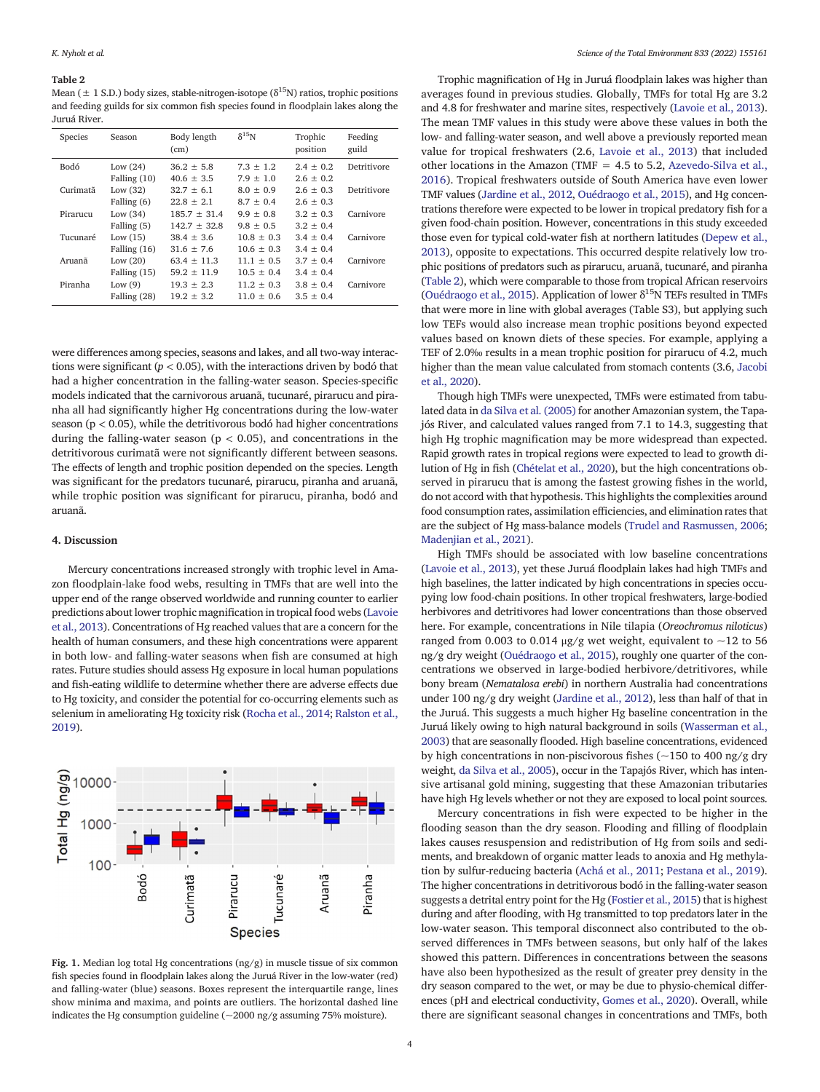#### <span id="page-3-0"></span>Table 2

Mean ( $\pm$  1 S.D.) body sizes, stable-nitrogen-isotope ( $\delta^{15}N$ ) ratios, trophic positions and feeding guilds for six common fish species found in floodplain lakes along the Juruá River.

| Species     | Season                       | Body length<br>(cm)          | $\delta^{15}$ N            | Trophic<br>position          | Feeding<br>guild |
|-------------|------------------------------|------------------------------|----------------------------|------------------------------|------------------|
| <b>Bodó</b> | Low $(24)$                   | $36.2 + 5.8$                 | $7.3 + 1.2$                | $2.4 \pm 0.2$                | Detritivore      |
| Curimatã    | Falling $(10)$<br>Low $(32)$ | $40.6 + 3.5$<br>$32.7 + 6.1$ | $7.9 + 1.0$<br>$8.0 + 0.9$ | $2.6 \pm 0.2$<br>$2.6 + 0.3$ | Detritivore      |
|             | Falling (6)                  | $22.8 + 2.1$                 | $8.7 \pm 0.4$              | $2.6 \pm 0.3$                |                  |
| Pirarucu    | Low $(34)$                   | $185.7 \pm 31.4$             | $9.9 + 0.8$                | $3.2 \pm 0.3$                | Carnivore        |
|             | Falling (5)                  | $142.7 + 32.8$               | $9.8 \pm 0.5$              | $3.2 \pm 0.4$                |                  |
| Tucunaré    | Low $(15)$                   | $38.4 + 3.6$                 | $10.8 + 0.3$               | $3.4 \pm 0.4$                | Carnivore        |
|             | Falling $(16)$               | $31.6 + 7.6$                 | $10.6 + 0.3$               | $3.4 \pm 0.4$                |                  |
| Aruanã      | Low $(20)$                   | $63.4 \pm 11.3$              | $11.1 + 0.5$               | $3.7 \pm 0.4$                | Carnivore        |
|             | Falling $(15)$               | $59.2 + 11.9$                | $10.5 + 0.4$               | $3.4 \pm 0.4$                |                  |
| Piranha     | Low $(9)$                    | $19.3 + 2.3$                 | $11.2 + 0.3$               | $3.8 \pm 0.4$                | Carnivore        |
|             | Falling (28)                 | $19.2 + 3.2$                 | $11.0 + 0.6$               | $3.5 \pm 0.4$                |                  |

were differences among species, seasons and lakes, and all two-way interactions were significant ( $p < 0.05$ ), with the interactions driven by bodó that had a higher concentration in the falling-water season. Species-specific models indicated that the carnivorous aruanã, tucunaré, pirarucu and piranha all had significantly higher Hg concentrations during the low-water season ( $p < 0.05$ ), while the detritivorous bodó had higher concentrations during the falling-water season ( $p < 0.05$ ), and concentrations in the detritivorous curimatã were not significantly different between seasons. The effects of length and trophic position depended on the species. Length was significant for the predators tucunaré, pirarucu, piranha and aruanã, while trophic position was significant for pirarucu, piranha, bodó and aruanã.

#### 4. Discussion

Mercury concentrations increased strongly with trophic level in Amazon floodplain-lake food webs, resulting in TMFs that are well into the upper end of the range observed worldwide and running counter to earlier predictions about lower trophic magnification in tropical food webs ([Lavoie](#page-5-0) [et al., 2013\)](#page-5-0). Concentrations of Hg reached values that are a concern for the health of human consumers, and these high concentrations were apparent in both low- and falling-water seasons when fish are consumed at high rates. Future studies should assess Hg exposure in local human populations and fish-eating wildlife to determine whether there are adverse effects due to Hg toxicity, and consider the potential for co-occurring elements such as selenium in ameliorating Hg toxicity risk [\(Rocha et al., 2014;](#page-5-0) [Ralston et al.,](#page-5-0) [2019](#page-5-0)).



Fig. 1. Median log total Hg concentrations (ng/g) in muscle tissue of six common fish species found in floodplain lakes along the Juruá River in the low-water (red) and falling-water (blue) seasons. Boxes represent the interquartile range, lines show minima and maxima, and points are outliers. The horizontal dashed line indicates the Hg consumption guideline (~2000 ng/g assuming 75% moisture).

Trophic magnification of Hg in Juruá floodplain lakes was higher than averages found in previous studies. Globally, TMFs for total Hg are 3.2 and 4.8 for freshwater and marine sites, respectively ([Lavoie et al., 2013\)](#page-5-0). The mean TMF values in this study were above these values in both the low- and falling-water season, and well above a previously reported mean value for tropical freshwaters (2.6, [Lavoie et al., 2013\)](#page-5-0) that included other locations in the Amazon (TMF = 4.5 to 5.2, [Azevedo-Silva et al.,](#page-5-0) [2016](#page-5-0)). Tropical freshwaters outside of South America have even lower TMF values [\(Jardine et al., 2012,](#page-5-0) [Ouédraogo et al., 2015\)](#page-5-0), and Hg concentrations therefore were expected to be lower in tropical predatory fish for a given food-chain position. However, concentrations in this study exceeded those even for typical cold-water fish at northern latitudes ([Depew et al.,](#page-5-0) [2013\)](#page-5-0), opposite to expectations. This occurred despite relatively low trophic positions of predators such as pirarucu, aruanã, tucunaré, and piranha (Table 2), which were comparable to those from tropical African reservoirs [\(Ouédraogo et al., 2015\)](#page-5-0). Application of lower  $\delta^{15}N$  TEFs resulted in TMFs that were more in line with global averages (Table S3), but applying such low TEFs would also increase mean trophic positions beyond expected values based on known diets of these species. For example, applying a TEF of 2.0‰ results in a mean trophic position for pirarucu of 4.2, much higher than the mean value calculated from stomach contents (3.6, [Jacobi](#page-5-0) [et al., 2020](#page-5-0)).

Though high TMFs were unexpected, TMFs were estimated from tabulated data in [da Silva et al. \(2005\)](#page-5-0) for another Amazonian system, the Tapajós River, and calculated values ranged from 7.1 to 14.3, suggesting that high Hg trophic magnification may be more widespread than expected. Rapid growth rates in tropical regions were expected to lead to growth dilution of Hg in fish [\(Chételat et al., 2020\)](#page-5-0), but the high concentrations observed in pirarucu that is among the fastest growing fishes in the world, do not accord with that hypothesis. This highlights the complexities around food consumption rates, assimilation efficiencies, and elimination rates that are the subject of Hg mass-balance models [\(Trudel and Rasmussen, 2006;](#page-5-0) [Madenjian et al., 2021\)](#page-5-0).

High TMFs should be associated with low baseline concentrations [\(Lavoie et al., 2013\)](#page-5-0), yet these Juruá floodplain lakes had high TMFs and high baselines, the latter indicated by high concentrations in species occupying low food-chain positions. In other tropical freshwaters, large-bodied herbivores and detritivores had lower concentrations than those observed here. For example, concentrations in Nile tilapia (Oreochromus niloticus) ranged from 0.003 to 0.014 μg/g wet weight, equivalent to  $~12$  to 56 ng/g dry weight [\(Ouédraogo et al., 2015](#page-5-0)), roughly one quarter of the concentrations we observed in large-bodied herbivore/detritivores, while bony bream (Nematalosa erebi) in northern Australia had concentrations under 100 ng/g dry weight ([Jardine et al., 2012](#page-5-0)), less than half of that in the Juruá. This suggests a much higher Hg baseline concentration in the Juruá likely owing to high natural background in soils [\(Wasserman et al.,](#page-5-0) [2003\)](#page-5-0) that are seasonally flooded. High baseline concentrations, evidenced by high concentrations in non-piscivorous fishes ( $\sim$ 150 to 400 ng/g dry weight, [da Silva et al., 2005\)](#page-5-0), occur in the Tapajós River, which has intensive artisanal gold mining, suggesting that these Amazonian tributaries have high Hg levels whether or not they are exposed to local point sources.

Mercury concentrations in fish were expected to be higher in the flooding season than the dry season. Flooding and filling of floodplain lakes causes resuspension and redistribution of Hg from soils and sediments, and breakdown of organic matter leads to anoxia and Hg methylation by sulfur-reducing bacteria [\(Achá et al., 2011](#page-4-0); [Pestana et al., 2019\)](#page-5-0). The higher concentrations in detritivorous bodó in the falling-water season suggests a detrital entry point for the Hg [\(Fostier et al., 2015](#page-5-0)) that is highest during and after flooding, with Hg transmitted to top predators later in the low-water season. This temporal disconnect also contributed to the observed differences in TMFs between seasons, but only half of the lakes showed this pattern. Differences in concentrations between the seasons have also been hypothesized as the result of greater prey density in the dry season compared to the wet, or may be due to physio-chemical differences (pH and electrical conductivity, [Gomes et al., 2020\)](#page-5-0). Overall, while there are significant seasonal changes in concentrations and TMFs, both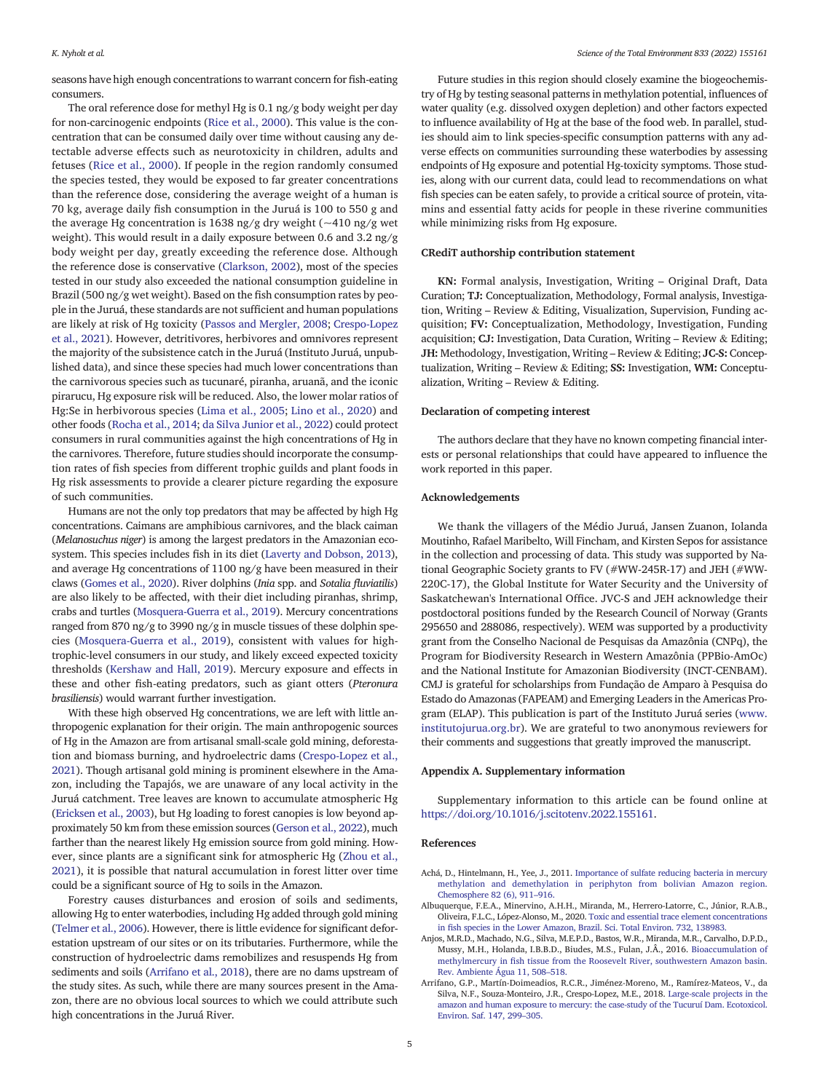<span id="page-4-0"></span>seasons have high enough concentrations to warrant concern for fish-eating consumers.

The oral reference dose for methyl Hg is 0.1 ng/g body weight per day for non-carcinogenic endpoints [\(Rice et al., 2000\)](#page-5-0). This value is the concentration that can be consumed daily over time without causing any detectable adverse effects such as neurotoxicity in children, adults and fetuses ([Rice et al., 2000](#page-5-0)). If people in the region randomly consumed the species tested, they would be exposed to far greater concentrations than the reference dose, considering the average weight of a human is 70 kg, average daily fish consumption in the Juruá is 100 to 550 g and the average Hg concentration is 1638 ng/g dry weight  $(-410 \text{ ng/g wet})$ weight). This would result in a daily exposure between 0.6 and 3.2 ng/g body weight per day, greatly exceeding the reference dose. Although the reference dose is conservative ([Clarkson, 2002](#page-5-0)), most of the species tested in our study also exceeded the national consumption guideline in Brazil (500 ng/g wet weight). Based on the fish consumption rates by people in the Juruá, these standards are not sufficient and human populations are likely at risk of Hg toxicity ([Passos and Mergler, 2008](#page-5-0); [Crespo-Lopez](#page-5-0) [et al., 2021\)](#page-5-0). However, detritivores, herbivores and omnivores represent the majority of the subsistence catch in the Juruá (Instituto Juruá, unpublished data), and since these species had much lower concentrations than the carnivorous species such as tucunaré, piranha, aruanã, and the iconic pirarucu, Hg exposure risk will be reduced. Also, the lower molar ratios of Hg:Se in herbivorous species [\(Lima et al., 2005](#page-5-0); [Lino et al., 2020\)](#page-5-0) and other foods [\(Rocha et al., 2014](#page-5-0); [da Silva Junior et al., 2022\)](#page-5-0) could protect consumers in rural communities against the high concentrations of Hg in the carnivores. Therefore, future studies should incorporate the consumption rates of fish species from different trophic guilds and plant foods in Hg risk assessments to provide a clearer picture regarding the exposure of such communities.

Humans are not the only top predators that may be affected by high Hg concentrations. Caimans are amphibious carnivores, and the black caiman (Melanosuchus niger) is among the largest predators in the Amazonian ecosystem. This species includes fish in its diet ([Laverty and Dobson, 2013](#page-5-0)), and average Hg concentrations of 1100 ng/g have been measured in their claws ([Gomes et al., 2020](#page-5-0)). River dolphins (Inia spp. and Sotalia fluviatilis) are also likely to be affected, with their diet including piranhas, shrimp, crabs and turtles ([Mosquera-Guerra et al., 2019](#page-5-0)). Mercury concentrations ranged from 870 ng/g to 3990 ng/g in muscle tissues of these dolphin species [\(Mosquera-Guerra et al., 2019\)](#page-5-0), consistent with values for hightrophic-level consumers in our study, and likely exceed expected toxicity thresholds ([Kershaw and Hall, 2019\)](#page-5-0). Mercury exposure and effects in these and other fish-eating predators, such as giant otters (Pteronura brasiliensis) would warrant further investigation.

With these high observed Hg concentrations, we are left with little anthropogenic explanation for their origin. The main anthropogenic sources of Hg in the Amazon are from artisanal small-scale gold mining, deforestation and biomass burning, and hydroelectric dams [\(Crespo-Lopez et al.,](#page-5-0) [2021](#page-5-0)). Though artisanal gold mining is prominent elsewhere in the Amazon, including the Tapajós, we are unaware of any local activity in the Juruá catchment. Tree leaves are known to accumulate atmospheric Hg [\(Ericksen et al., 2003](#page-5-0)), but Hg loading to forest canopies is low beyond approximately 50 km from these emission sources ([Gerson et al., 2022\)](#page-5-0), much farther than the nearest likely Hg emission source from gold mining. However, since plants are a significant sink for atmospheric Hg [\(Zhou et al.,](#page-5-0) [2021\)](#page-5-0), it is possible that natural accumulation in forest litter over time could be a significant source of Hg to soils in the Amazon.

Forestry causes disturbances and erosion of soils and sediments, allowing Hg to enter waterbodies, including Hg added through gold mining [\(Telmer et al., 2006\)](#page-5-0). However, there is little evidence for significant deforestation upstream of our sites or on its tributaries. Furthermore, while the construction of hydroelectric dams remobilizes and resuspends Hg from sediments and soils (Arrifano et al., 2018), there are no dams upstream of the study sites. As such, while there are many sources present in the Amazon, there are no obvious local sources to which we could attribute such high concentrations in the Juruá River.

Future studies in this region should closely examine the biogeochemistry of Hg by testing seasonal patterns in methylation potential, influences of water quality (e.g. dissolved oxygen depletion) and other factors expected to influence availability of Hg at the base of the food web. In parallel, studies should aim to link species-specific consumption patterns with any adverse effects on communities surrounding these waterbodies by assessing endpoints of Hg exposure and potential Hg-toxicity symptoms. Those studies, along with our current data, could lead to recommendations on what fish species can be eaten safely, to provide a critical source of protein, vitamins and essential fatty acids for people in these riverine communities while minimizing risks from Hg exposure.

## CRediT authorship contribution statement

KN: Formal analysis, Investigation, Writing – Original Draft, Data Curation; TJ: Conceptualization, Methodology, Formal analysis, Investigation, Writing – Review & Editing, Visualization, Supervision, Funding acquisition; FV: Conceptualization, Methodology, Investigation, Funding acquisition; CJ: Investigation, Data Curation, Writing – Review & Editing; JH: Methodology, Investigation, Writing – Review & Editing; JC-S: Conceptualization, Writing – Review & Editing; SS: Investigation, WM: Conceptualization, Writing – Review & Editing.

# Declaration of competing interest

The authors declare that they have no known competing financial interests or personal relationships that could have appeared to influence the work reported in this paper.

### Acknowledgements

We thank the villagers of the Médio Juruá, Jansen Zuanon, Iolanda Moutinho, Rafael Maribelto, Will Fincham, and Kirsten Sepos for assistance in the collection and processing of data. This study was supported by National Geographic Society grants to FV (#WW-245R-17) and JEH (#WW-220C-17), the Global Institute for Water Security and the University of Saskatchewan's International Office. JVC-S and JEH acknowledge their postdoctoral positions funded by the Research Council of Norway (Grants 295650 and 288086, respectively). WEM was supported by a productivity grant from the Conselho Nacional de Pesquisas da Amazônia (CNPq), the Program for Biodiversity Research in Western Amazônia (PPBio-AmOc) and the National Institute for Amazonian Biodiversity (INCT-CENBAM). CMJ is grateful for scholarships from Fundação de Amparo à Pesquisa do Estado do Amazonas (FAPEAM) and Emerging Leaders in the Americas Program (ELAP). This publication is part of the Instituto Juruá series [\(www.](http://www.institutojurua.org.br) [institutojurua.org.br](http://www.institutojurua.org.br)). We are grateful to two anonymous reviewers for their comments and suggestions that greatly improved the manuscript.

# Appendix A. Supplementary information

Supplementary information to this article can be found online at <https://doi.org/10.1016/j.scitotenv.2022.155161>.

### References

- Achá, D., Hintelmann, H., Yee, J., 2011. [Importance of sulfate reducing bacteria in mercury](http://refhub.elsevier.com/S0048-9697(22)02254-9/rf202204081822224408) [methylation and demethylation in periphyton from bolivian Amazon region.](http://refhub.elsevier.com/S0048-9697(22)02254-9/rf202204081822224408) [Chemosphere 82 \(6\), 911](http://refhub.elsevier.com/S0048-9697(22)02254-9/rf202204081822224408)–916.
- Albuquerque, F.E.A., Minervino, A.H.H., Miranda, M., Herrero-Latorre, C., Júnior, R.A.B., Oliveira, F.L.C., López-Alonso, M., 2020. [Toxic and essential trace element concentrations](http://refhub.elsevier.com/S0048-9697(22)02254-9/rf202204081820155971) in fi[sh species in the Lower Amazon, Brazil. Sci. Total Environ. 732, 138983](http://refhub.elsevier.com/S0048-9697(22)02254-9/rf202204081820155971).
- Anjos, M.R.D., Machado, N.G., Silva, M.E.P.D., Bastos, W.R., Miranda, M.R., Carvalho, D.P.D., Mussy, M.H., Holanda, I.B.B.D., Biudes, M.S., Fulan, J.Â., 2016. [Bioaccumulation of](http://refhub.elsevier.com/S0048-9697(22)02254-9/rf202204081820295605) methylmercury in fi[sh tissue from the Roosevelt River, southwestern Amazon basin.](http://refhub.elsevier.com/S0048-9697(22)02254-9/rf202204081820295605) [Rev. Ambiente Água 11, 508](http://refhub.elsevier.com/S0048-9697(22)02254-9/rf202204081820295605)–518.
- Arrifano, G.P., Martín-Doimeadios, R.C.R., Jiménez-Moreno, M., Ramírez-Mateos, V., da Silva, N.F., Souza-Monteiro, J.R., Crespo-Lopez, M.E., 2018. [Large-scale projects in the](http://refhub.elsevier.com/S0048-9697(22)02254-9/rf202204081820378340) [amazon and human exposure to mercury: the case-study of the Tucuruí Dam. Ecotoxicol.](http://refhub.elsevier.com/S0048-9697(22)02254-9/rf202204081820378340) [Environ. Saf. 147, 299](http://refhub.elsevier.com/S0048-9697(22)02254-9/rf202204081820378340)–305.